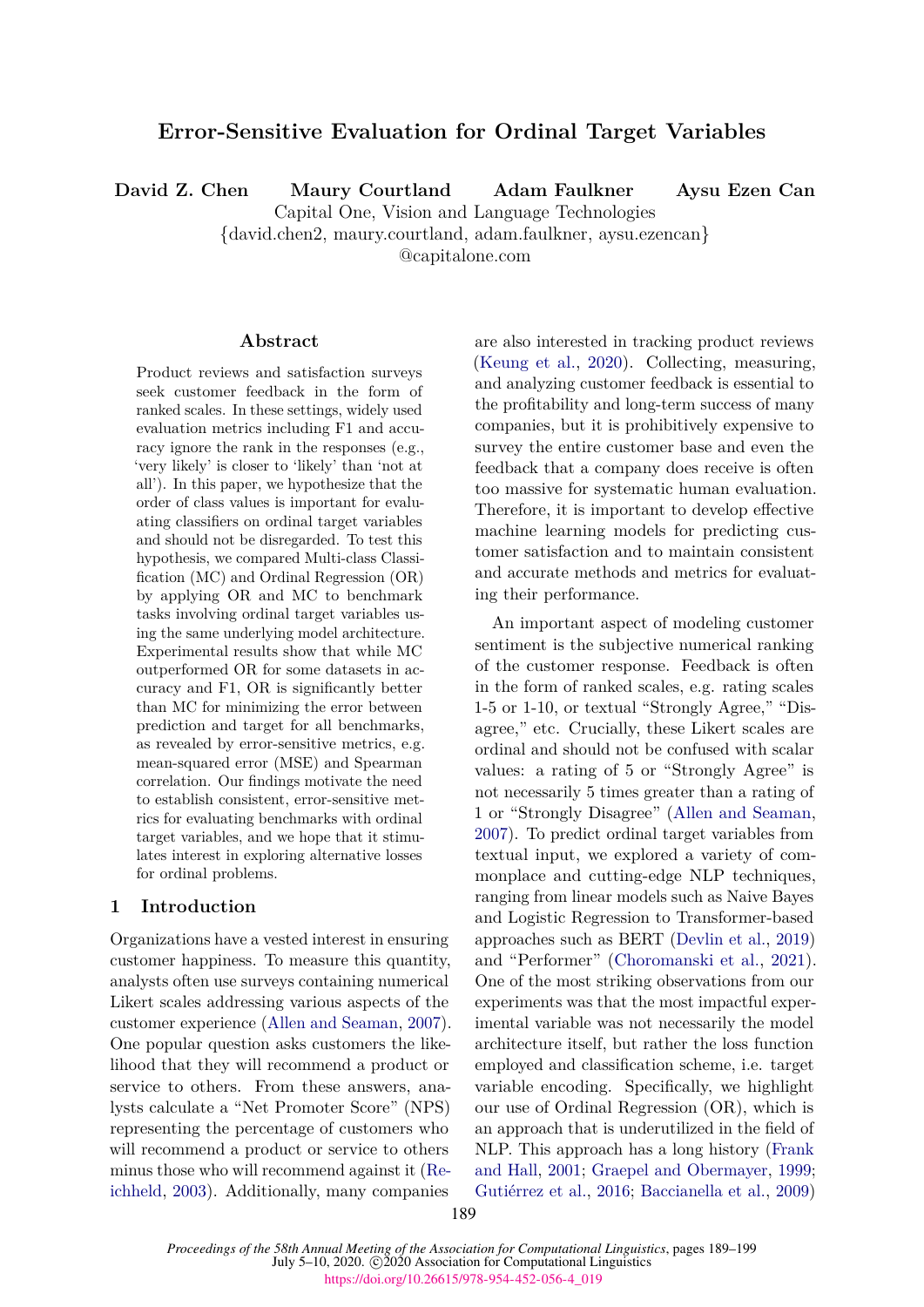# **Error-Sensitive Evaluation for Ordinal Target Variables**

**David Z. Chen Maury Courtland Adam Faulkner Aysu Ezen Can**

Capital One, Vision and Language Technologies

{david.chen2, maury.courtland, adam.faulkner, aysu.ezencan}

@capitalone.com

#### **Abstract**

Product reviews and satisfaction surveys seek customer feedback in the form of ranked scales. In these settings, widely used evaluation metrics including F1 and accuracy ignore the rank in the responses (e.g., 'very likely' is closer to 'likely' than 'not at all'). In this paper, we hypothesize that the order of class values is important for evaluating classifiers on ordinal target variables and should not be disregarded. To test this hypothesis, we compared Multi-class Classification (MC) and Ordinal Regression (OR) by applying OR and MC to benchmark tasks involving ordinal target variables using the same underlying model architecture. Experimental results show that while MC outperformed OR for some datasets in accuracy and F1, OR is significantly better than MC for minimizing the error between prediction and target for all benchmarks, as revealed by error-sensitive metrics, e.g. mean-squared error (MSE) and Spearman correlation. Our findings motivate the need to establish consistent, error-sensitive metrics for evaluating benchmarks with ordinal target variables, and we hope that it stimulates interest in exploring alternative losses for ordinal problems.

# **1 Introduction**

Organizations have a vested interest in ensuring customer happiness. To measure this quantity, analysts often use surveys containing numerical Likert scales addressing various aspects of the customer experience [\(Allen and Seaman,](#page-8-0) [2007\)](#page-8-0). One popular question asks customers the likelihood that they will recommend a product or service to others. From these answers, analysts calculate a "Net Promoter Score" (NPS) representing the percentage of customers who will recommend a product or service to others minus those who will recommend against it [\(Re](#page-9-0)[ichheld,](#page-9-0) [2003\)](#page-9-0). Additionally, many companies

are also interested in tracking product reviews [\(Keung et al.,](#page-9-1) [2020\)](#page-9-1). Collecting, measuring, and analyzing customer feedback is essential to the profitability and long-term success of many companies, but it is prohibitively expensive to survey the entire customer base and even the feedback that a company does receive is often too massive for systematic human evaluation. Therefore, it is important to develop effective machine learning models for predicting customer satisfaction and to maintain consistent and accurate methods and metrics for evaluating their performance.

An important aspect of modeling customer sentiment is the subjective numerical ranking of the customer response. Feedback is often in the form of ranked scales, e.g. rating scales 1-5 or 1-10, or textual "Strongly Agree," "Disagree," etc. Crucially, these Likert scales are ordinal and should not be confused with scalar values: a rating of 5 or "Strongly Agree" is not necessarily 5 times greater than a rating of 1 or "Strongly Disagree" [\(Allen and Seaman,](#page-8-0) [2007\)](#page-8-0). To predict ordinal target variables from textual input, we explored a variety of commonplace and cutting-edge NLP techniques, ranging from linear models such as Naive Bayes and Logistic Regression to Transformer-based approaches such as BERT [\(Devlin et al.,](#page-8-1) [2019\)](#page-8-1) and "Performer" [\(Choromanski et al.,](#page-8-2) [2021\)](#page-8-2). One of the most striking observations from our experiments was that the most impactful experimental variable was not necessarily the model architecture itself, but rather the loss function employed and classification scheme, i.e. target variable encoding. Specifically, we highlight our use of Ordinal Regression (OR), which is an approach that is underutilized in the field of NLP. This approach has a long history [\(Frank](#page-8-3) [and Hall,](#page-8-3) [2001;](#page-8-3) [Graepel and Obermayer,](#page-9-2) [1999;](#page-9-2) [Gutiérrez et al.,](#page-9-3) [2016;](#page-9-3) [Baccianella et al.,](#page-8-4) [2009\)](#page-8-4)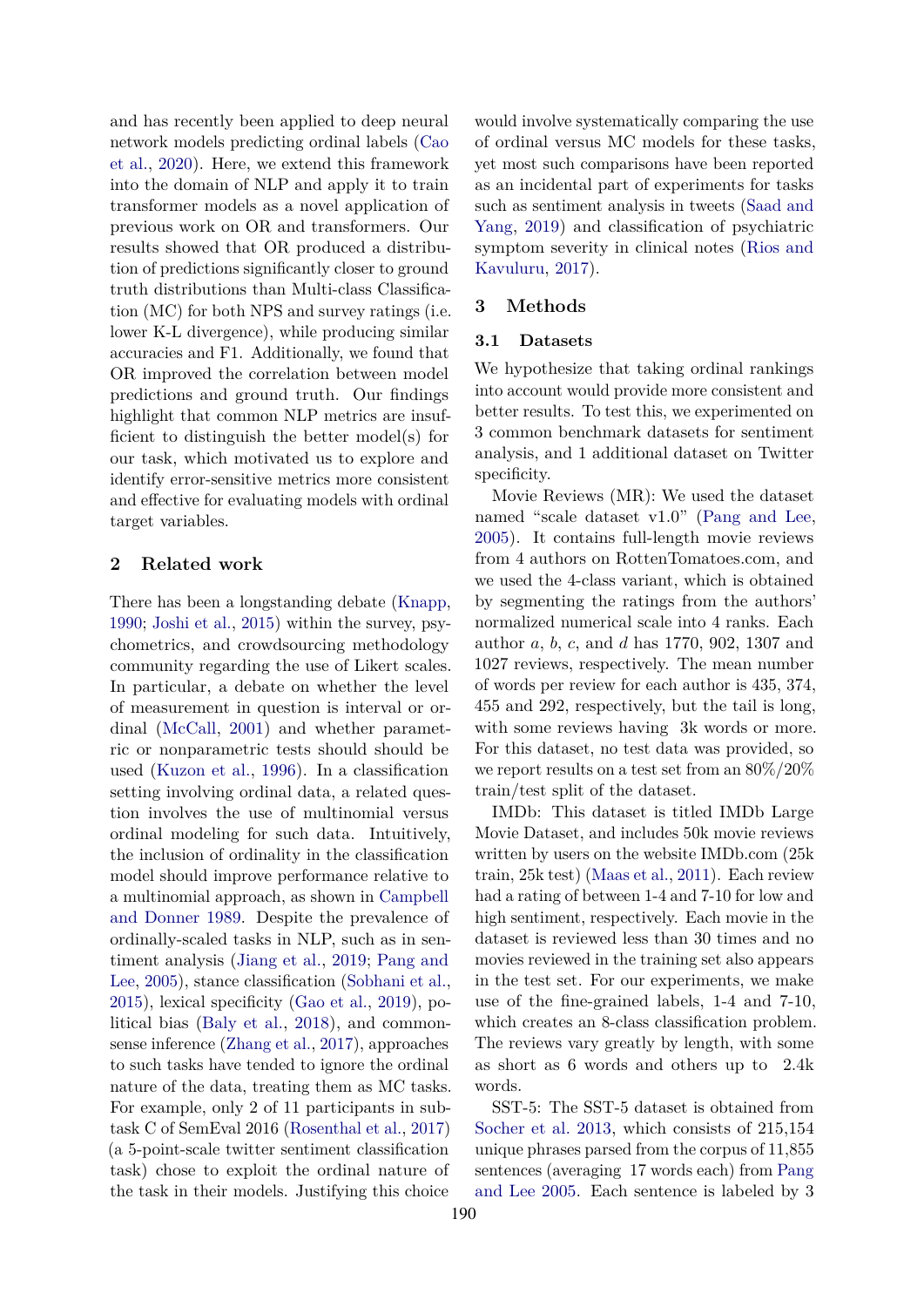and has recently been applied to deep neural network models predicting ordinal labels [\(Cao](#page-8-5) [et al.,](#page-8-5) [2020\)](#page-8-5). Here, we extend this framework into the domain of NLP and apply it to train transformer models as a novel application of previous work on OR and transformers. Our results showed that OR produced a distribution of predictions significantly closer to ground truth distributions than Multi-class Classification (MC) for both NPS and survey ratings (i.e. lower K-L divergence), while producing similar accuracies and F1. Additionally, we found that OR improved the correlation between model predictions and ground truth. Our findings highlight that common NLP metrics are insufficient to distinguish the better model(s) for our task, which motivated us to explore and identify error-sensitive metrics more consistent and effective for evaluating models with ordinal target variables.

#### **2 Related work**

There has been a longstanding debate [\(Knapp,](#page-9-4) [1990;](#page-9-4) [Joshi et al.,](#page-9-5) [2015\)](#page-9-5) within the survey, psychometrics, and crowdsourcing methodology community regarding the use of Likert scales. In particular, a debate on whether the level of measurement in question is interval or ordinal [\(McCall,](#page-9-6) [2001\)](#page-9-6) and whether parametric or nonparametric tests should should be used [\(Kuzon et al.,](#page-9-7) [1996\)](#page-9-7). In a classification setting involving ordinal data, a related question involves the use of multinomial versus ordinal modeling for such data. Intuitively, the inclusion of ordinality in the classification model should improve performance relative to a multinomial approach, as shown in [Campbell](#page-8-6) [and Donner](#page-8-6) [1989.](#page-8-6) Despite the prevalence of ordinally-scaled tasks in NLP, such as in sentiment analysis [\(Jiang et al.,](#page-9-8) [2019;](#page-9-8) [Pang and](#page-9-9) [Lee,](#page-9-9) [2005\)](#page-9-9), stance classification [\(Sobhani et al.,](#page-10-0) [2015\)](#page-10-0), lexical specificity [\(Gao et al.,](#page-9-10) [2019\)](#page-9-10), political bias [\(Baly et al.,](#page-8-7) [2018\)](#page-8-7), and commonsense inference [\(Zhang et al.,](#page-10-1) [2017\)](#page-10-1), approaches to such tasks have tended to ignore the ordinal nature of the data, treating them as MC tasks. For example, only 2 of 11 participants in subtask C of SemEval 2016 [\(Rosenthal et al.,](#page-9-11) [2017\)](#page-9-11) (a 5-point-scale twitter sentiment classification task) chose to exploit the ordinal nature of the task in their models. Justifying this choice

would involve systematically comparing the use of ordinal versus MC models for these tasks, yet most such comparisons have been reported as an incidental part of experiments for tasks such as sentiment analysis in tweets [\(Saad and](#page-10-2) [Yang,](#page-10-2) [2019\)](#page-10-2) and classification of psychiatric symptom severity in clinical notes [\(Rios and](#page-9-12) [Kavuluru,](#page-9-12) [2017\)](#page-9-12).

#### **3 Methods**

#### **3.1 Datasets**

We hypothesize that taking ordinal rankings into account would provide more consistent and better results. To test this, we experimented on 3 common benchmark datasets for sentiment analysis, and 1 additional dataset on Twitter specificity.

Movie Reviews (MR): We used the dataset named "scale dataset v1.0" [\(Pang and Lee,](#page-9-9) [2005\)](#page-9-9). It contains full-length movie reviews from 4 authors on RottenTomatoes.com, and we used the 4-class variant, which is obtained by segmenting the ratings from the authors' normalized numerical scale into 4 ranks. Each author *a*, *b*, *c*, and *d* has 1770, 902, 1307 and 1027 reviews, respectively. The mean number of words per review for each author is 435, 374, 455 and 292, respectively, but the tail is long, with some reviews having 3k words or more. For this dataset, no test data was provided, so we report results on a test set from an 80%/20% train/test split of the dataset.

IMDb: This dataset is titled IMDb Large Movie Dataset, and includes 50k movie reviews written by users on the website IMDb.com (25k train, 25k test) [\(Maas et al.,](#page-9-13) [2011\)](#page-9-13). Each review had a rating of between 1-4 and 7-10 for low and high sentiment, respectively. Each movie in the dataset is reviewed less than 30 times and no movies reviewed in the training set also appears in the test set. For our experiments, we make use of the fine-grained labels, 1-4 and 7-10, which creates an 8-class classification problem. The reviews vary greatly by length, with some as short as 6 words and others up to 2.4k words.

SST-5: The SST-5 dataset is obtained from [Socher et al.](#page-10-3) [2013,](#page-10-3) which consists of 215,154 unique phrases parsed from the corpus of 11,855 sentences (averaging 17 words each) from [Pang](#page-9-9) [and Lee](#page-9-9) [2005.](#page-9-9) Each sentence is labeled by 3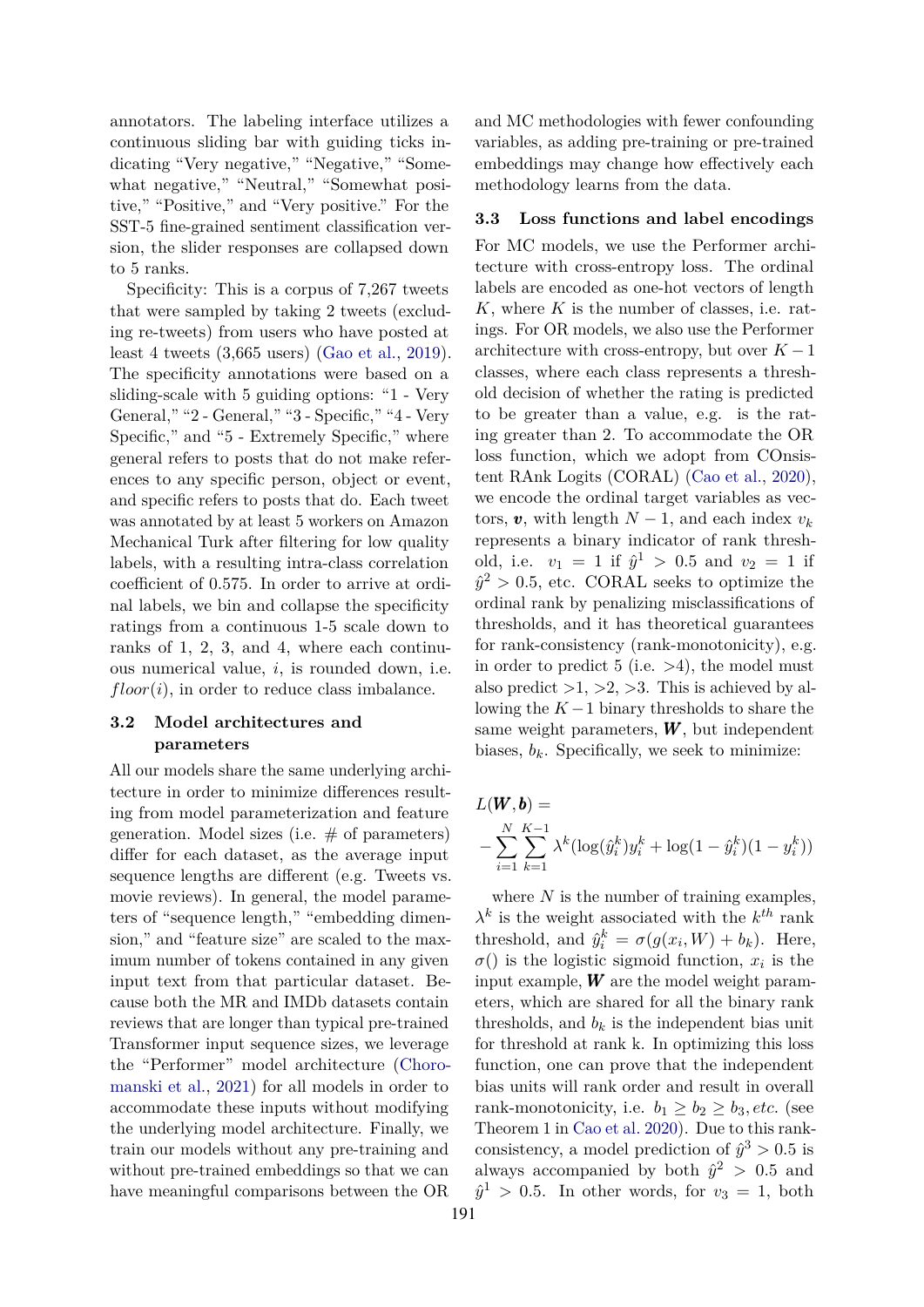annotators. The labeling interface utilizes a continuous sliding bar with guiding ticks indicating "Very negative," "Negative," "Somewhat negative," "Neutral," "Somewhat positive," "Positive," and "Very positive." For the SST-5 fine-grained sentiment classification version, the slider responses are collapsed down to 5 ranks.

Specificity: This is a corpus of 7,267 tweets that were sampled by taking 2 tweets (excluding re-tweets) from users who have posted at least 4 tweets (3,665 users) [\(Gao et al.,](#page-9-10) [2019\)](#page-9-10). The specificity annotations were based on a sliding-scale with 5 guiding options: "1 - Very General," "2 - General," "3 - Specific," "4 - Very Specific," and "5 - Extremely Specific," where general refers to posts that do not make references to any specific person, object or event, and specific refers to posts that do. Each tweet was annotated by at least 5 workers on Amazon Mechanical Turk after filtering for low quality labels, with a resulting intra-class correlation coefficient of 0.575. In order to arrive at ordinal labels, we bin and collapse the specificity ratings from a continuous 1-5 scale down to ranks of 1, 2, 3, and 4, where each continuous numerical value, *i*, is rounded down, i.e.  $floor(i)$ , in order to reduce class imbalance.

# **3.2 Model architectures and parameters**

All our models share the same underlying architecture in order to minimize differences resulting from model parameterization and feature generation. Model sizes (i.e.  $#$  of parameters) differ for each dataset, as the average input sequence lengths are different (e.g. Tweets vs. movie reviews). In general, the model parameters of "sequence length," "embedding dimension," and "feature size" are scaled to the maximum number of tokens contained in any given input text from that particular dataset. Because both the MR and IMDb datasets contain reviews that are longer than typical pre-trained Transformer input sequence sizes, we leverage the "Performer" model architecture [\(Choro](#page-8-2)[manski et al.,](#page-8-2) [2021\)](#page-8-2) for all models in order to accommodate these inputs without modifying the underlying model architecture. Finally, we train our models without any pre-training and without pre-trained embeddings so that we can have meaningful comparisons between the OR

and MC methodologies with fewer confounding variables, as adding pre-training or pre-trained embeddings may change how effectively each methodology learns from the data.

#### **3.3 Loss functions and label encodings**

For MC models, we use the Performer architecture with cross-entropy loss. The ordinal labels are encoded as one-hot vectors of length *K*, where *K* is the number of classes, i.e. ratings. For OR models, we also use the Performer architecture with cross-entropy, but over  $K-1$ classes, where each class represents a threshold decision of whether the rating is predicted to be greater than a value, e.g. is the rating greater than 2. To accommodate the OR loss function, which we adopt from COnsistent RAnk Logits (CORAL) [\(Cao et al.,](#page-8-5) [2020\)](#page-8-5), we encode the ordinal target variables as vectors,  $v$ , with length  $N-1$ , and each index  $v_k$ represents a binary indicator of rank threshold, i.e.  $v_1 = 1$  if  $\hat{y}^1 > 0.5$  and  $v_2 = 1$  if  $\hat{y}^2 > 0.5$ , etc. CORAL seeks to optimize the ordinal rank by penalizing misclassifications of thresholds, and it has theoretical guarantees for rank-consistency (rank-monotonicity), e.g. in order to predict 5 (i.e.  $>4$ ), the model must also predict  $>1, >2, >3$ . This is achieved by allowing the  $K-1$  binary thresholds to share the same weight parameters,  $W$ , but independent biases,  $b_k$ . Specifically, we seek to minimize:

$$
L(\mathbf{W}, \mathbf{b}) =
$$
  
- $\sum_{i=1}^{N} \sum_{k=1}^{K-1} \lambda^k (\log(\hat{y}_i^k) y_i^k + \log(1 - \hat{y}_i^k)(1 - y_i^k))$ 

where *N* is the number of training examples,  $\lambda^k$  is the weight associated with the  $k^{th}$  rank threshold, and  $\hat{y}_i^k = \sigma(g(x_i, W) + b_k)$ . Here,  $\sigma()$  is the logistic sigmoid function,  $x_i$  is the input example, *W* are the model weight parameters, which are shared for all the binary rank thresholds, and  $b_k$  is the independent bias unit for threshold at rank k. In optimizing this loss function, one can prove that the independent bias units will rank order and result in overall rank-monotonicity, i.e.  $b_1 \geq b_2 \geq b_3, etc.$  (see Theorem 1 in [Cao et al.](#page-8-5) [2020\)](#page-8-5). Due to this rankconsistency, a model prediction of  $\hat{y}^3 > 0.5$  is always accompanied by both  $\hat{y}^2 > 0.5$  and  $\hat{y}^1 > 0.5$ . In other words, for  $v_3 = 1$ , both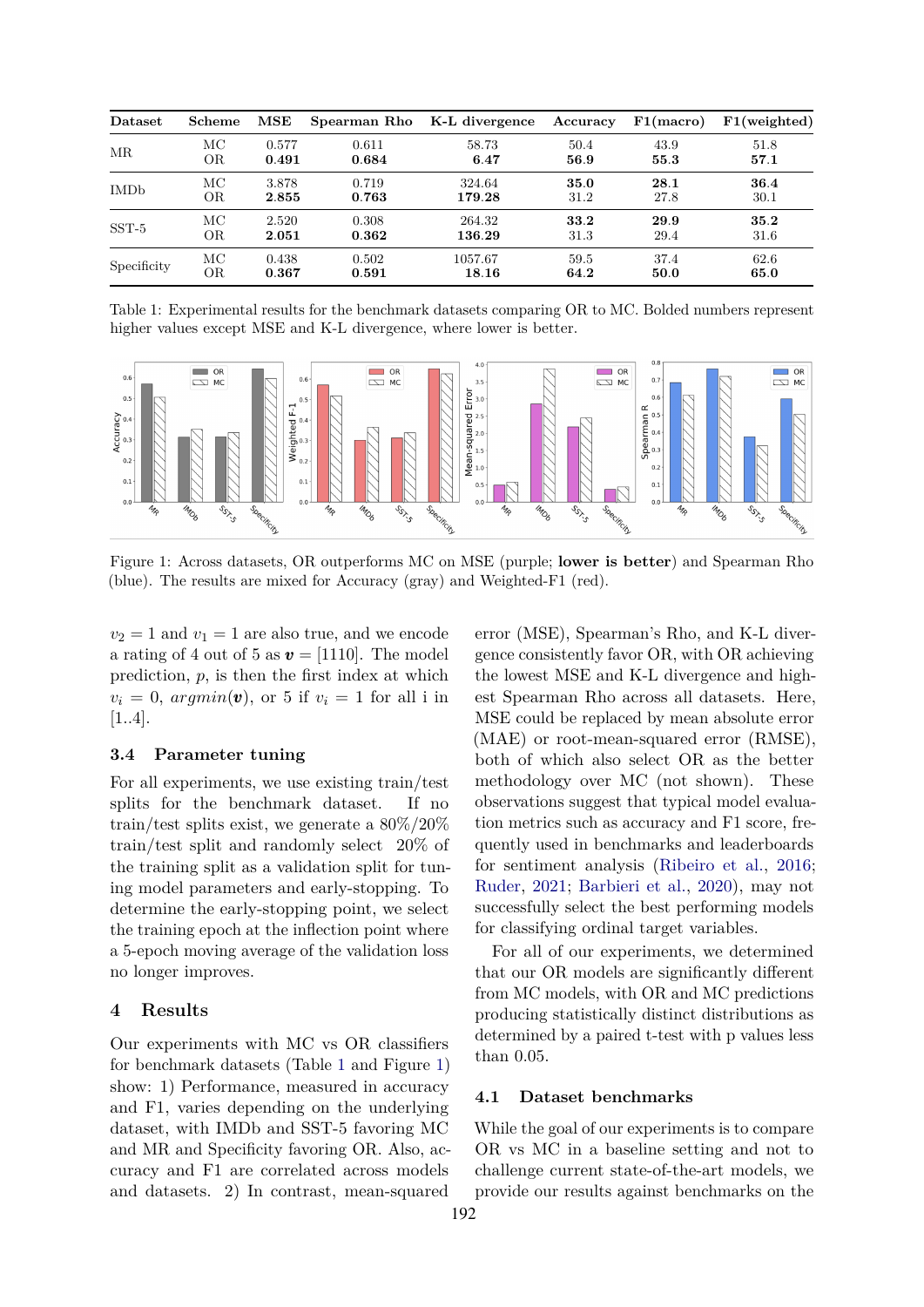<span id="page-3-0"></span>

| Dataset     | <b>Scheme</b> | $_{\rm{MSE}}$ | Spearman Rho | K-L divergence | Accuracy | F1(macc) | F1(weighted) |
|-------------|---------------|---------------|--------------|----------------|----------|----------|--------------|
| <b>MR</b>   | МC            | 0.577         | 0.611        | 58.73          | 50.4     | 43.9     | 51.8         |
|             | OR            | 0.491         | 0.684        | 6.47           | 56.9     | 55.3     | 57.1         |
| <b>IMDb</b> | МC            | 3.878         | 0.719        | 324.64         | 35.0     | 28.1     | 36.4         |
|             | OR            | 2.855         | 0.763        | 179.28         | 31.2     | 27.8     | 30.1         |
| $SST-5$     | МC            | 2.520         | 0.308        | 264.32         | 33.2     | 29.9     | 35.2         |
|             | OR            | 2.051         | 0.362        | 136.29         | 31.3     | 29.4     | 31.6         |
| Specificity | МC            | 0.438         | 0.502        | 1057.67        | 59.5     | 37.4     | 62.6         |
|             | OR            | 0.367         | 0.591        | 18.16          | 64.2     | 50.0     | 65.0         |

Table 1: Experimental results for the benchmark datasets comparing OR to MC. Bolded numbers represent higher values except MSE and K-L divergence, where lower is better.

<span id="page-3-1"></span>

Figure 1: Across datasets, OR outperforms MC on MSE (purple; **lower is better**) and Spearman Rho (blue). The results are mixed for Accuracy (gray) and Weighted-F1 (red).

 $v_2 = 1$  and  $v_1 = 1$  are also true, and we encode a rating of 4 out of 5 as  $v = [1110]$ . The model prediction, *p*, is then the first index at which  $v_i = 0$ ,  $argmin(\mathbf{v})$ , or 5 if  $v_i = 1$  for all i in [1..4].

# **3.4 Parameter tuning**

For all experiments, we use existing train/test splits for the benchmark dataset. If no train/test splits exist, we generate a 80%/20% train/test split and randomly select 20% of the training split as a validation split for tuning model parameters and early-stopping. To determine the early-stopping point, we select the training epoch at the inflection point where a 5-epoch moving average of the validation loss no longer improves.

# **4 Results**

Our experiments with MC vs OR classifiers for benchmark datasets (Table [1](#page-3-0) and Figure [1\)](#page-3-1) show: 1) Performance, measured in accuracy and F1, varies depending on the underlying dataset, with IMDb and SST-5 favoring MC and MR and Specificity favoring OR. Also, accuracy and F1 are correlated across models and datasets. 2) In contrast, mean-squared

error (MSE), Spearman's Rho, and K-L divergence consistently favor OR, with OR achieving the lowest MSE and K-L divergence and highest Spearman Rho across all datasets. Here, MSE could be replaced by mean absolute error (MAE) or root-mean-squared error (RMSE), both of which also select OR as the better methodology over MC (not shown). These observations suggest that typical model evaluation metrics such as accuracy and F1 score, frequently used in benchmarks and leaderboards for sentiment analysis [\(Ribeiro et al.,](#page-9-14) [2016;](#page-9-14) [Ruder,](#page-9-15) [2021;](#page-9-15) [Barbieri et al.,](#page-8-8) [2020\)](#page-8-8), may not successfully select the best performing models for classifying ordinal target variables.

For all of our experiments, we determined that our OR models are significantly different from MC models, with OR and MC predictions producing statistically distinct distributions as determined by a paired t-test with p values less than 0.05.

# **4.1 Dataset benchmarks**

While the goal of our experiments is to compare OR vs MC in a baseline setting and not to challenge current state-of-the-art models, we provide our results against benchmarks on the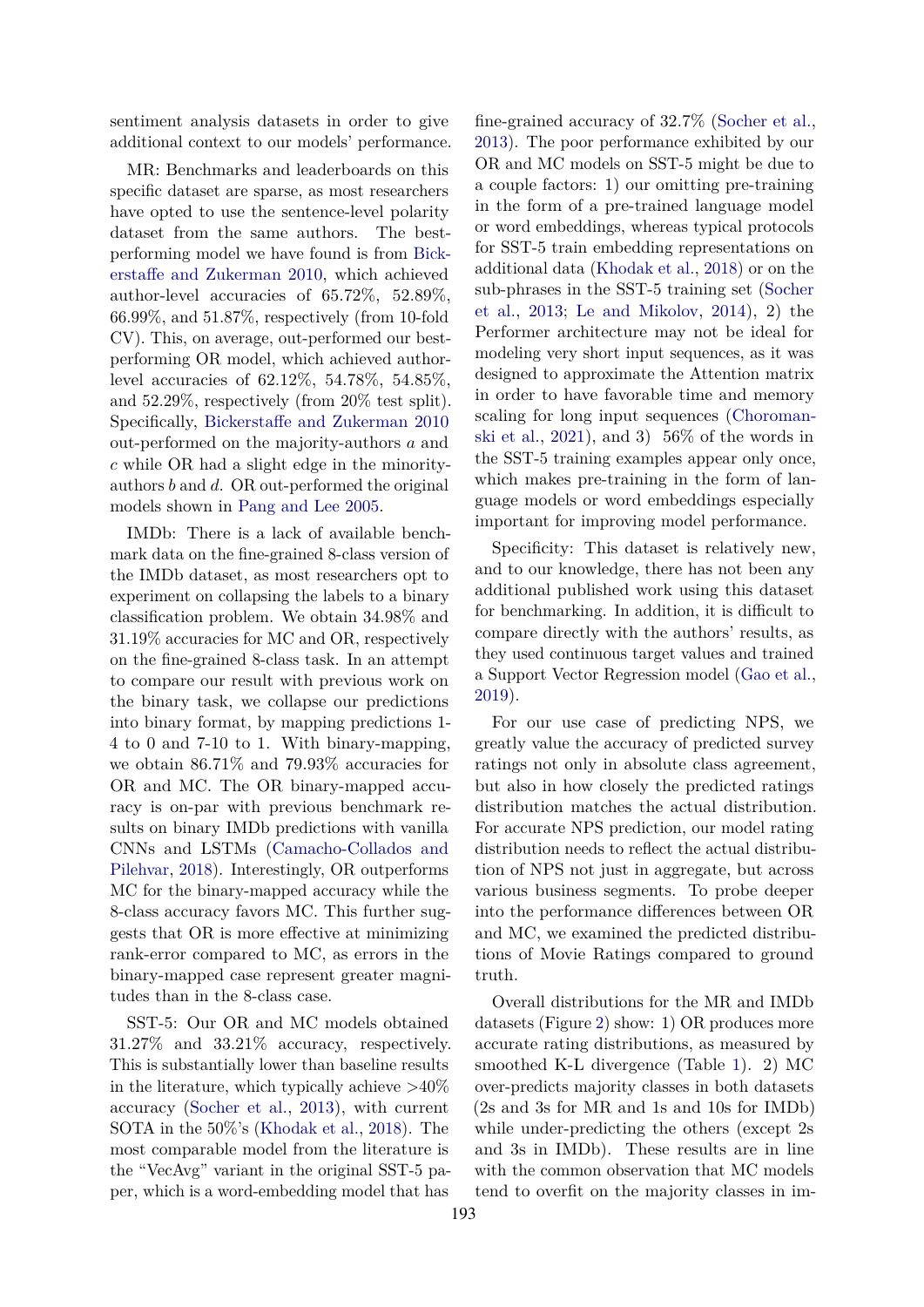sentiment analysis datasets in order to give additional context to our models' performance.

MR: Benchmarks and leaderboards on this specific dataset are sparse, as most researchers have opted to use the sentence-level polarity dataset from the same authors. The bestperforming model we have found is from [Bick](#page-8-9)[erstaffe and Zukerman](#page-8-9) [2010,](#page-8-9) which achieved author-level accuracies of 65.72%, 52.89%, 66.99%, and 51.87%, respectively (from 10-fold CV). This, on average, out-performed our bestperforming OR model, which achieved authorlevel accuracies of 62.12%, 54.78%, 54.85%, and 52.29%, respectively (from 20% test split). Specifically, [Bickerstaffe and Zukerman](#page-8-9) [2010](#page-8-9) out-performed on the majority-authors *a* and *c* while OR had a slight edge in the minorityauthors *b* and *d*. OR out-performed the original models shown in [Pang and Lee](#page-9-9) [2005.](#page-9-9)

IMDb: There is a lack of available benchmark data on the fine-grained 8-class version of the IMDb dataset, as most researchers opt to experiment on collapsing the labels to a binary classification problem. We obtain 34.98% and 31.19% accuracies for MC and OR, respectively on the fine-grained 8-class task. In an attempt to compare our result with previous work on the binary task, we collapse our predictions into binary format, by mapping predictions 1- 4 to 0 and 7-10 to 1. With binary-mapping, we obtain 86.71% and 79.93% accuracies for OR and MC. The OR binary-mapped accuracy is on-par with previous benchmark results on binary IMDb predictions with vanilla CNNs and LSTMs [\(Camacho-Collados and](#page-8-10) [Pilehvar,](#page-8-10) [2018\)](#page-8-10). Interestingly, OR outperforms MC for the binary-mapped accuracy while the 8-class accuracy favors MC. This further suggests that OR is more effective at minimizing rank-error compared to MC, as errors in the binary-mapped case represent greater magnitudes than in the 8-class case.

SST-5: Our OR and MC models obtained 31.27% and 33.21% accuracy, respectively. This is substantially lower than baseline results in the literature, which typically achieve  $>40\%$ accuracy [\(Socher et al.,](#page-10-3) [2013\)](#page-10-3), with current SOTA in the 50%'s [\(Khodak et al.,](#page-9-16) [2018\)](#page-9-16). The most comparable model from the literature is the "VecAvg" variant in the original SST-5 paper, which is a word-embedding model that has

fine-grained accuracy of 32.7% [\(Socher et al.,](#page-10-3) [2013\)](#page-10-3). The poor performance exhibited by our OR and MC models on SST-5 might be due to a couple factors: 1) our omitting pre-training in the form of a pre-trained language model or word embeddings, whereas typical protocols for SST-5 train embedding representations on additional data [\(Khodak et al.,](#page-9-16) [2018\)](#page-9-16) or on the sub-phrases in the SST-5 training set [\(Socher](#page-10-3) [et al.,](#page-10-3) [2013;](#page-10-3) [Le and Mikolov,](#page-9-17) [2014\)](#page-9-17), 2) the Performer architecture may not be ideal for modeling very short input sequences, as it was designed to approximate the Attention matrix in order to have favorable time and memory scaling for long input sequences [\(Choroman](#page-8-2)[ski et al.,](#page-8-2) [2021\)](#page-8-2), and 3)  $56\%$  of the words in the SST-5 training examples appear only once, which makes pre-training in the form of language models or word embeddings especially important for improving model performance.

Specificity: This dataset is relatively new, and to our knowledge, there has not been any additional published work using this dataset for benchmarking. In addition, it is difficult to compare directly with the authors' results, as they used continuous target values and trained a Support Vector Regression model [\(Gao et al.,](#page-9-10) [2019\)](#page-9-10).

For our use case of predicting NPS, we greatly value the accuracy of predicted survey ratings not only in absolute class agreement, but also in how closely the predicted ratings distribution matches the actual distribution. For accurate NPS prediction, our model rating distribution needs to reflect the actual distribution of NPS not just in aggregate, but across various business segments. To probe deeper into the performance differences between OR and MC, we examined the predicted distributions of Movie Ratings compared to ground truth.

Overall distributions for the MR and IMDb datasets (Figure [2\)](#page-5-0) show: 1) OR produces more accurate rating distributions, as measured by smoothed K-L divergence (Table [1\)](#page-3-0). 2) MC over-predicts majority classes in both datasets (2s and 3s for MR and 1s and 10s for IMDb) while under-predicting the others (except 2s and 3s in IMDb). These results are in line with the common observation that MC models tend to overfit on the majority classes in im-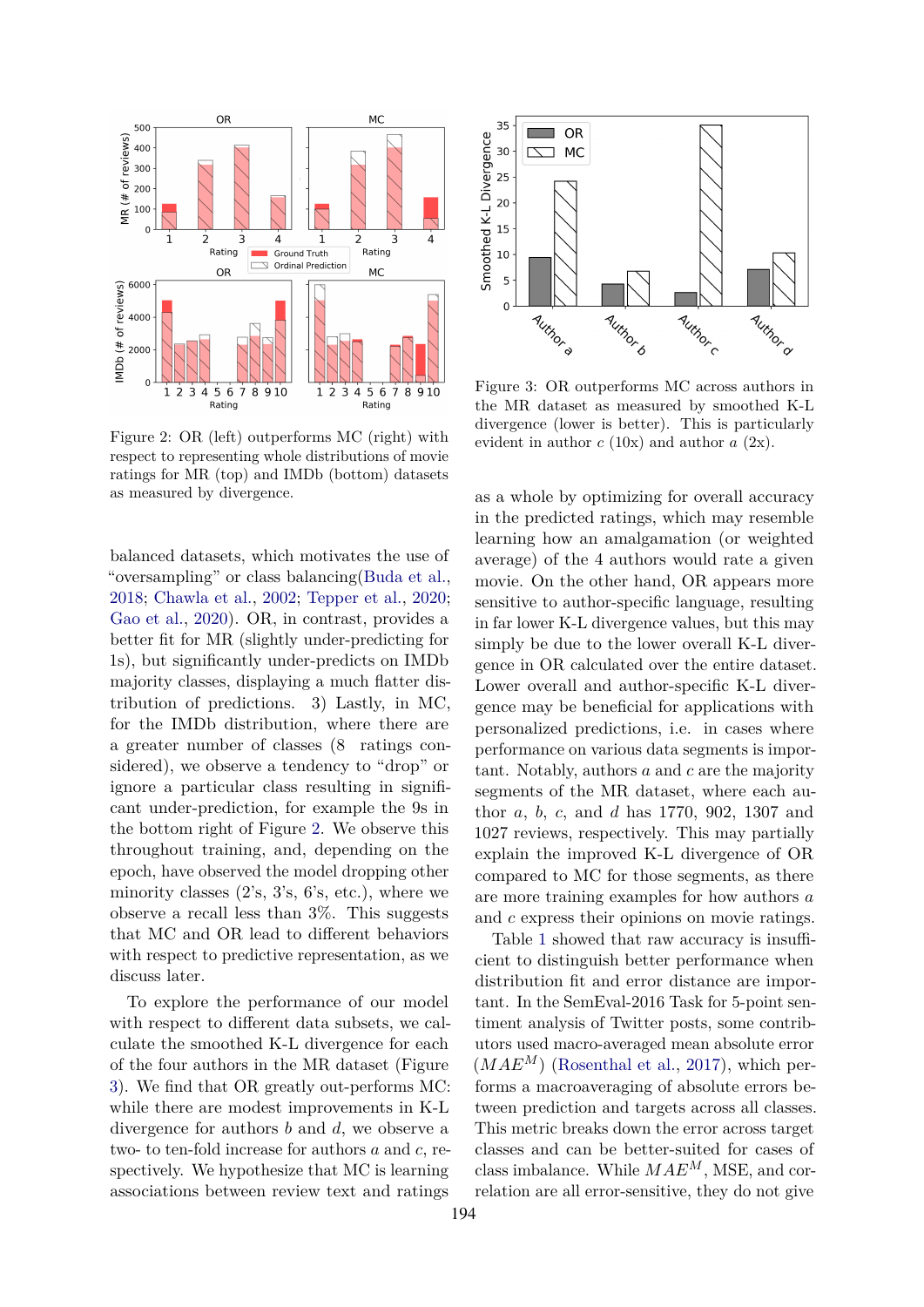<span id="page-5-0"></span>

Figure 2: OR (left) outperforms MC (right) with respect to representing whole distributions of movie ratings for MR (top) and IMDb (bottom) datasets as measured by divergence.

balanced datasets, which motivates the use of "oversampling" or class balancing[\(Buda et al.,](#page-8-11) [2018;](#page-8-11) [Chawla et al.,](#page-8-12) [2002;](#page-8-12) [Tepper et al.,](#page-10-4) [2020;](#page-10-4) [Gao et al.,](#page-9-18) [2020\)](#page-9-18). OR, in contrast, provides a better fit for MR (slightly under-predicting for 1s), but significantly under-predicts on IMDb majority classes, displaying a much flatter distribution of predictions. 3) Lastly, in MC, for the IMDb distribution, where there are a greater number of classes (8 ratings considered), we observe a tendency to "drop" or ignore a particular class resulting in significant under-prediction, for example the 9s in the bottom right of Figure [2.](#page-5-0) We observe this throughout training, and, depending on the epoch, have observed the model dropping other minority classes  $(2's, 3's, 6's, etc.)$ , where we observe a recall less than 3%. This suggests that MC and OR lead to different behaviors with respect to predictive representation, as we discuss later.

To explore the performance of our model with respect to different data subsets, we calculate the smoothed K-L divergence for each of the four authors in the MR dataset (Figure [3\)](#page-5-1). We find that OR greatly out-performs MC: while there are modest improvements in K-L divergence for authors *b* and *d*, we observe a two- to ten-fold increase for authors *a* and *c*, respectively. We hypothesize that MC is learning associations between review text and ratings

<span id="page-5-1"></span>

Figure 3: OR outperforms MC across authors in the MR dataset as measured by smoothed K-L divergence (lower is better). This is particularly evident in author *c* (10x) and author *a* (2x).

as a whole by optimizing for overall accuracy in the predicted ratings, which may resemble learning how an amalgamation (or weighted average) of the 4 authors would rate a given movie. On the other hand, OR appears more sensitive to author-specific language, resulting in far lower K-L divergence values, but this may simply be due to the lower overall K-L divergence in OR calculated over the entire dataset. Lower overall and author-specific K-L divergence may be beneficial for applications with personalized predictions, i.e. in cases where performance on various data segments is important. Notably, authors *a* and *c* are the majority segments of the MR dataset, where each author *a*, *b*, *c*, and *d* has 1770, 902, 1307 and 1027 reviews, respectively. This may partially explain the improved K-L divergence of OR compared to MC for those segments, as there are more training examples for how authors *a* and *c* express their opinions on movie ratings.

Table [1](#page-3-0) showed that raw accuracy is insufficient to distinguish better performance when distribution fit and error distance are important. In the SemEval-2016 Task for 5-point sentiment analysis of Twitter posts, some contributors used macro-averaged mean absolute error  $(MAE^M)$  [\(Rosenthal et al.,](#page-9-11) [2017\)](#page-9-11), which performs a macroaveraging of absolute errors between prediction and targets across all classes. This metric breaks down the error across target classes and can be better-suited for cases of class imbalance. While *MAEM*, MSE, and correlation are all error-sensitive, they do not give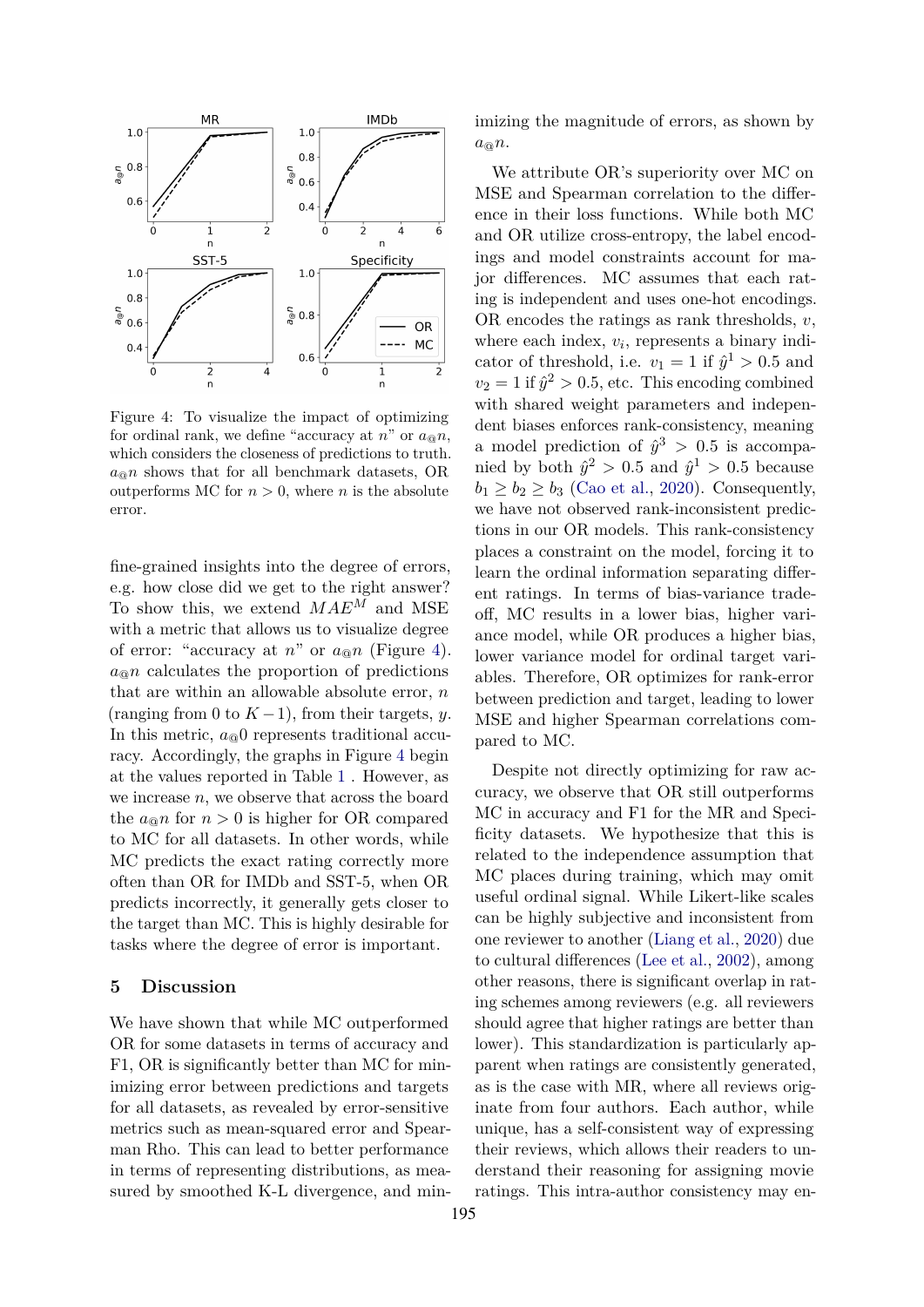<span id="page-6-0"></span>

Figure 4: To visualize the impact of optimizing for ordinal rank, we define "accuracy at  $n$ " or  $a_{\text{on}}n$ , which considers the closeness of predictions to truth.  $a_{\mathcal{Q}} n$  shows that for all benchmark datasets, OR outperforms MC for  $n > 0$ , where *n* is the absolute error.

fine-grained insights into the degree of errors, e.g. how close did we get to the right answer? To show this, we extend *MAE<sup>M</sup>* and MSE with a metric that allows us to visualize degree of error: "accuracy at  $n$ " or  $a_{\alpha}n$  (Figure [4\)](#page-6-0).  $a_{\mathfrak{D}}$  calculates the proportion of predictions that are within an allowable absolute error, *n* (ranging from 0 to  $K-1$ ), from their targets, *y*. In this metric,  $a_{\text{Q}}0$  represents traditional accuracy. Accordingly, the graphs in Figure [4](#page-6-0) begin at the values reported in Table [1](#page-3-0) . However, as we increase *n*, we observe that across the board the  $a_{\text{on}} n$  for  $n > 0$  is higher for OR compared to MC for all datasets. In other words, while MC predicts the exact rating correctly more often than OR for IMDb and SST-5, when OR predicts incorrectly, it generally gets closer to the target than MC. This is highly desirable for tasks where the degree of error is important.

#### **5 Discussion**

We have shown that while MC outperformed OR for some datasets in terms of accuracy and F1, OR is significantly better than MC for minimizing error between predictions and targets for all datasets, as revealed by error-sensitive metrics such as mean-squared error and Spearman Rho. This can lead to better performance in terms of representing distributions, as measured by smoothed K-L divergence, and minimizing the magnitude of errors, as shown by *a*@*n*.

We attribute OR's superiority over MC on MSE and Spearman correlation to the difference in their loss functions. While both MC and OR utilize cross-entropy, the label encodings and model constraints account for major differences. MC assumes that each rating is independent and uses one-hot encodings. OR encodes the ratings as rank thresholds, *v*, where each index,  $v_i$ , represents a binary indicator of threshold, i.e.  $v_1 = 1$  if  $\hat{y}^1 > 0.5$  and  $v_2 = 1$  if  $\hat{y}^2 > 0.5$ , etc. This encoding combined with shared weight parameters and independent biases enforces rank-consistency, meaning a model prediction of  $\hat{y}^3 > 0.5$  is accompanied by both  $\hat{y}^2 > 0.5$  and  $\hat{y}^1 > 0.5$  because  $b_1 \geq b_2 \geq b_3$  [\(Cao et al.,](#page-8-5) [2020\)](#page-8-5). Consequently, we have not observed rank-inconsistent predictions in our OR models. This rank-consistency places a constraint on the model, forcing it to learn the ordinal information separating different ratings. In terms of bias-variance tradeoff, MC results in a lower bias, higher variance model, while OR produces a higher bias, lower variance model for ordinal target variables. Therefore, OR optimizes for rank-error between prediction and target, leading to lower MSE and higher Spearman correlations compared to MC.

Despite not directly optimizing for raw accuracy, we observe that OR still outperforms MC in accuracy and F1 for the MR and Specificity datasets. We hypothesize that this is related to the independence assumption that MC places during training, which may omit useful ordinal signal. While Likert-like scales can be highly subjective and inconsistent from one reviewer to another [\(Liang et al.,](#page-9-19) [2020\)](#page-9-19) due to cultural differences [\(Lee et al.,](#page-9-20) [2002\)](#page-9-20), among other reasons, there is significant overlap in rating schemes among reviewers (e.g. all reviewers should agree that higher ratings are better than lower). This standardization is particularly apparent when ratings are consistently generated, as is the case with MR, where all reviews originate from four authors. Each author, while unique, has a self-consistent way of expressing their reviews, which allows their readers to understand their reasoning for assigning movie ratings. This intra-author consistency may en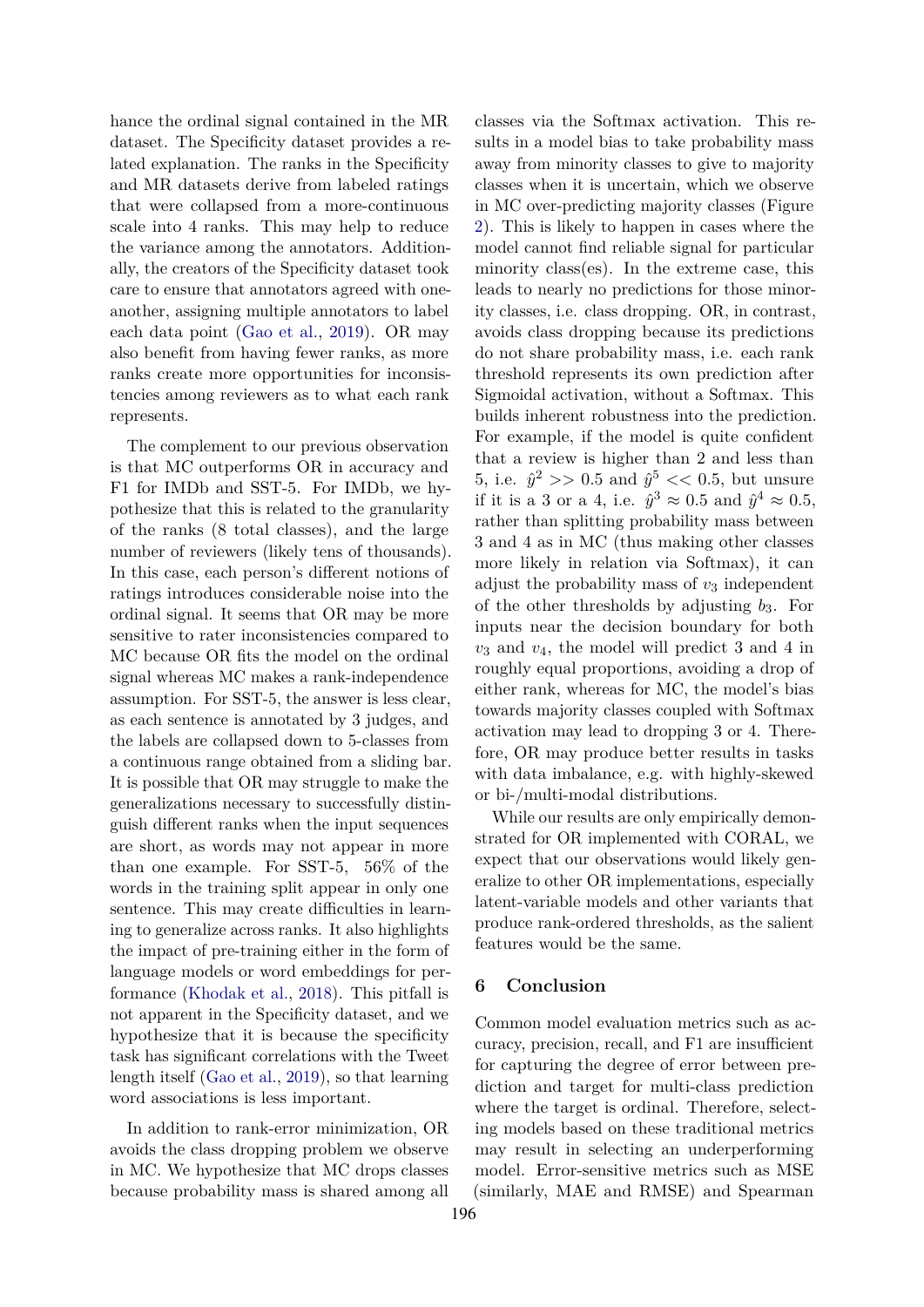hance the ordinal signal contained in the MR dataset. The Specificity dataset provides a related explanation. The ranks in the Specificity and MR datasets derive from labeled ratings that were collapsed from a more-continuous scale into 4 ranks. This may help to reduce the variance among the annotators. Additionally, the creators of the Specificity dataset took care to ensure that annotators agreed with oneanother, assigning multiple annotators to label each data point [\(Gao et al.,](#page-9-10) [2019\)](#page-9-10). OR may also benefit from having fewer ranks, as more ranks create more opportunities for inconsistencies among reviewers as to what each rank represents.

The complement to our previous observation is that MC outperforms OR in accuracy and F1 for IMDb and SST-5. For IMDb, we hypothesize that this is related to the granularity of the ranks (8 total classes), and the large number of reviewers (likely tens of thousands). In this case, each person's different notions of ratings introduces considerable noise into the ordinal signal. It seems that OR may be more sensitive to rater inconsistencies compared to MC because OR fits the model on the ordinal signal whereas MC makes a rank-independence assumption. For SST-5, the answer is less clear, as each sentence is annotated by 3 judges, and the labels are collapsed down to 5-classes from a continuous range obtained from a sliding bar. It is possible that OR may struggle to make the generalizations necessary to successfully distinguish different ranks when the input sequences are short, as words may not appear in more than one example. For SST-5, 56% of the words in the training split appear in only one sentence. This may create difficulties in learning to generalize across ranks. It also highlights the impact of pre-training either in the form of language models or word embeddings for performance [\(Khodak et al.,](#page-9-16) [2018\)](#page-9-16). This pitfall is not apparent in the Specificity dataset, and we hypothesize that it is because the specificity task has significant correlations with the Tweet length itself [\(Gao et al.,](#page-9-10) [2019\)](#page-9-10), so that learning word associations is less important.

In addition to rank-error minimization, OR avoids the class dropping problem we observe in MC. We hypothesize that MC drops classes because probability mass is shared among all classes via the Softmax activation. This results in a model bias to take probability mass away from minority classes to give to majority classes when it is uncertain, which we observe in MC over-predicting majority classes (Figure [2\)](#page-5-0). This is likely to happen in cases where the model cannot find reliable signal for particular minority class(es). In the extreme case, this leads to nearly no predictions for those minority classes, i.e. class dropping. OR, in contrast, avoids class dropping because its predictions do not share probability mass, i.e. each rank threshold represents its own prediction after Sigmoidal activation, without a Softmax. This builds inherent robustness into the prediction. For example, if the model is quite confident that a review is higher than 2 and less than 5, i.e.  $\hat{y}^2 >> 0.5$  and  $\hat{y}^5 << 0.5$ , but unsure if it is a 3 or a 4, i.e.  $\hat{y}^3 \approx 0.5$  and  $\hat{y}^4 \approx 0.5$ , rather than splitting probability mass between 3 and 4 as in MC (thus making other classes more likely in relation via Softmax), it can adjust the probability mass of  $v_3$  independent of the other thresholds by adjusting *b*3. For inputs near the decision boundary for both *v*<sup>3</sup> and *v*4, the model will predict 3 and 4 in roughly equal proportions, avoiding a drop of either rank, whereas for MC, the model's bias towards majority classes coupled with Softmax activation may lead to dropping 3 or 4. Therefore, OR may produce better results in tasks with data imbalance, e.g. with highly-skewed or bi-/multi-modal distributions.

While our results are only empirically demonstrated for OR implemented with CORAL, we expect that our observations would likely generalize to other OR implementations, especially latent-variable models and other variants that produce rank-ordered thresholds, as the salient features would be the same.

# **6 Conclusion**

Common model evaluation metrics such as accuracy, precision, recall, and F1 are insufficient for capturing the degree of error between prediction and target for multi-class prediction where the target is ordinal. Therefore, selecting models based on these traditional metrics may result in selecting an underperforming model. Error-sensitive metrics such as MSE (similarly, MAE and RMSE) and Spearman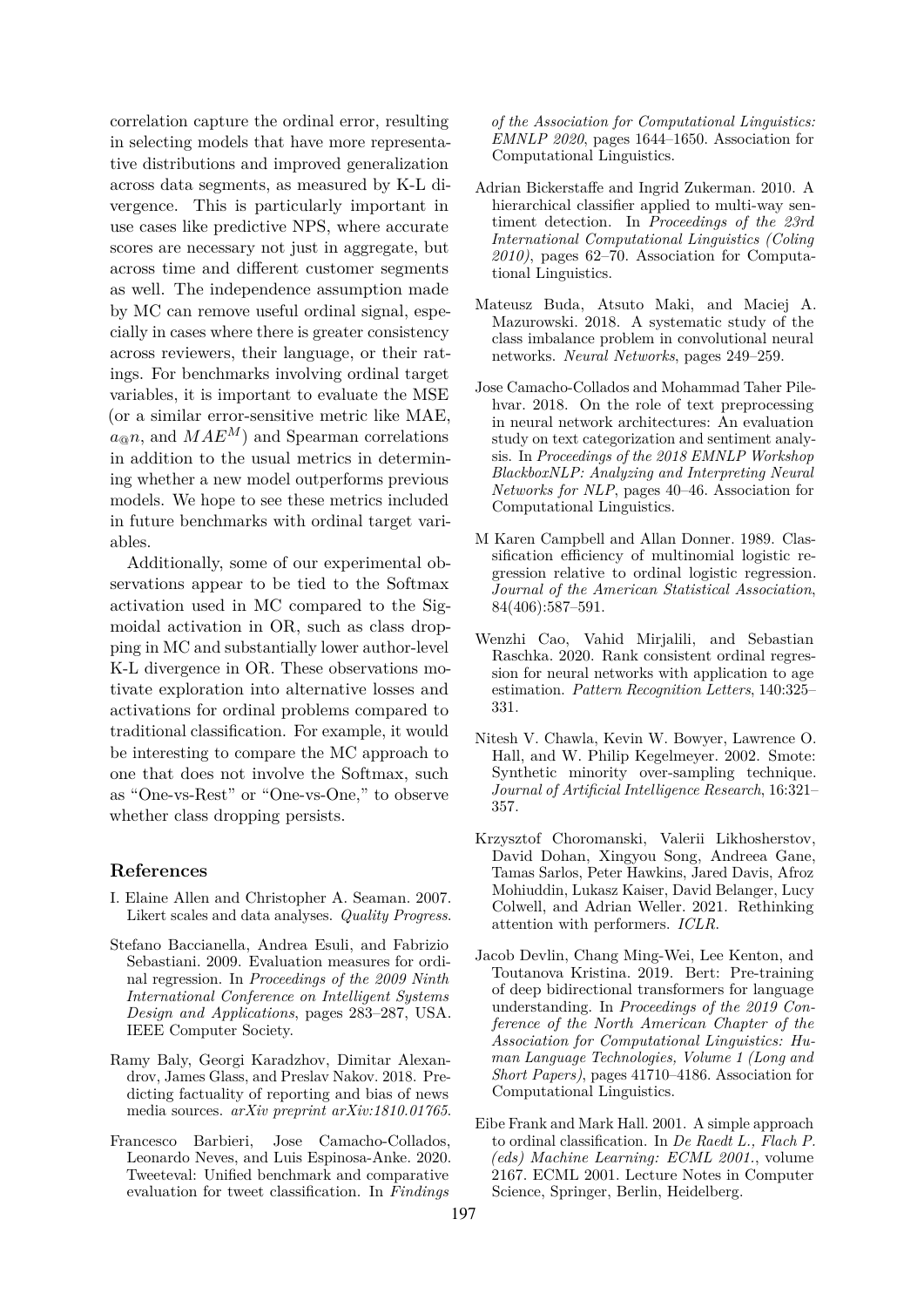correlation capture the ordinal error, resulting in selecting models that have more representative distributions and improved generalization across data segments, as measured by K-L divergence. This is particularly important in use cases like predictive NPS, where accurate scores are necessary not just in aggregate, but across time and different customer segments as well. The independence assumption made by MC can remove useful ordinal signal, especially in cases where there is greater consistency across reviewers, their language, or their ratings. For benchmarks involving ordinal target variables, it is important to evaluate the MSE (or a similar error-sensitive metric like MAE,  $a_{\text{a}} n$ , and  $MAE^M$  and Spearman correlations in addition to the usual metrics in determining whether a new model outperforms previous models. We hope to see these metrics included in future benchmarks with ordinal target variables.

Additionally, some of our experimental observations appear to be tied to the Softmax activation used in MC compared to the Sigmoidal activation in OR, such as class dropping in MC and substantially lower author-level K-L divergence in OR. These observations motivate exploration into alternative losses and activations for ordinal problems compared to traditional classification. For example, it would be interesting to compare the MC approach to one that does not involve the Softmax, such as "One-vs-Rest" or "One-vs-One," to observe whether class dropping persists.

# **References**

- <span id="page-8-0"></span>I. Elaine Allen and Christopher A. Seaman. 2007. Likert scales and data analyses. *Quality Progress*.
- <span id="page-8-4"></span>Stefano Baccianella, Andrea Esuli, and Fabrizio Sebastiani. 2009. Evaluation measures for ordinal regression. In *Proceedings of the 2009 Ninth International Conference on Intelligent Systems Design and Applications*, pages 283–287, USA. IEEE Computer Society.
- <span id="page-8-7"></span>Ramy Baly, Georgi Karadzhov, Dimitar Alexandrov, James Glass, and Preslav Nakov. 2018. Predicting factuality of reporting and bias of news media sources. *arXiv preprint arXiv:1810.01765*.
- <span id="page-8-8"></span>Francesco Barbieri, Jose Camacho-Collados, Leonardo Neves, and Luis Espinosa-Anke. 2020. Tweeteval: Unified benchmark and comparative evaluation for tweet classification. In *Findings*

*of the Association for Computational Linguistics: EMNLP 2020*, pages 1644–1650. Association for Computational Linguistics.

- <span id="page-8-9"></span>Adrian Bickerstaffe and Ingrid Zukerman. 2010. A hierarchical classifier applied to multi-way sentiment detection. In *Proceedings of the 23rd International Computational Linguistics (Coling 2010)*, pages 62–70. Association for Computational Linguistics.
- <span id="page-8-11"></span>Mateusz Buda, Atsuto Maki, and Maciej A. Mazurowski. 2018. A systematic study of the class imbalance problem in convolutional neural networks. *Neural Networks*, pages 249–259.
- <span id="page-8-10"></span>Jose Camacho-Collados and Mohammad Taher Pilehvar. 2018. On the role of text preprocessing in neural network architectures: An evaluation study on text categorization and sentiment analysis. In *Proceedings of the 2018 EMNLP Workshop BlackboxNLP: Analyzing and Interpreting Neural Networks for NLP*, pages 40–46. Association for Computational Linguistics.
- <span id="page-8-6"></span>M Karen Campbell and Allan Donner. 1989. Classification efficiency of multinomial logistic regression relative to ordinal logistic regression. *Journal of the American Statistical Association*, 84(406):587–591.
- <span id="page-8-5"></span>Wenzhi Cao, Vahid Mirjalili, and Sebastian Raschka. 2020. Rank consistent ordinal regression for neural networks with application to age estimation. *Pattern Recognition Letters*, 140:325– 331.
- <span id="page-8-12"></span>Nitesh V. Chawla, Kevin W. Bowyer, Lawrence O. Hall, and W. Philip Kegelmeyer. 2002. Smote: Synthetic minority over-sampling technique. *Journal of Artificial Intelligence Research*, 16:321– 357.
- <span id="page-8-2"></span>Krzysztof Choromanski, Valerii Likhosherstov, David Dohan, Xingyou Song, Andreea Gane, Tamas Sarlos, Peter Hawkins, Jared Davis, Afroz Mohiuddin, Lukasz Kaiser, David Belanger, Lucy Colwell, and Adrian Weller. 2021. Rethinking attention with performers. *ICLR*.
- <span id="page-8-1"></span>Jacob Devlin, Chang Ming-Wei, Lee Kenton, and Toutanova Kristina. 2019. Bert: Pre-training of deep bidirectional transformers for language understanding. In *Proceedings of the 2019 Conference of the North American Chapter of the Association for Computational Linguistics: Human Language Technologies, Volume 1 (Long and Short Papers)*, pages 41710–4186. Association for Computational Linguistics.
- <span id="page-8-3"></span>Eibe Frank and Mark Hall. 2001. A simple approach to ordinal classification. In *De Raedt L., Flach P. (eds) Machine Learning: ECML 2001.*, volume 2167. ECML 2001. Lecture Notes in Computer Science, Springer, Berlin, Heidelberg.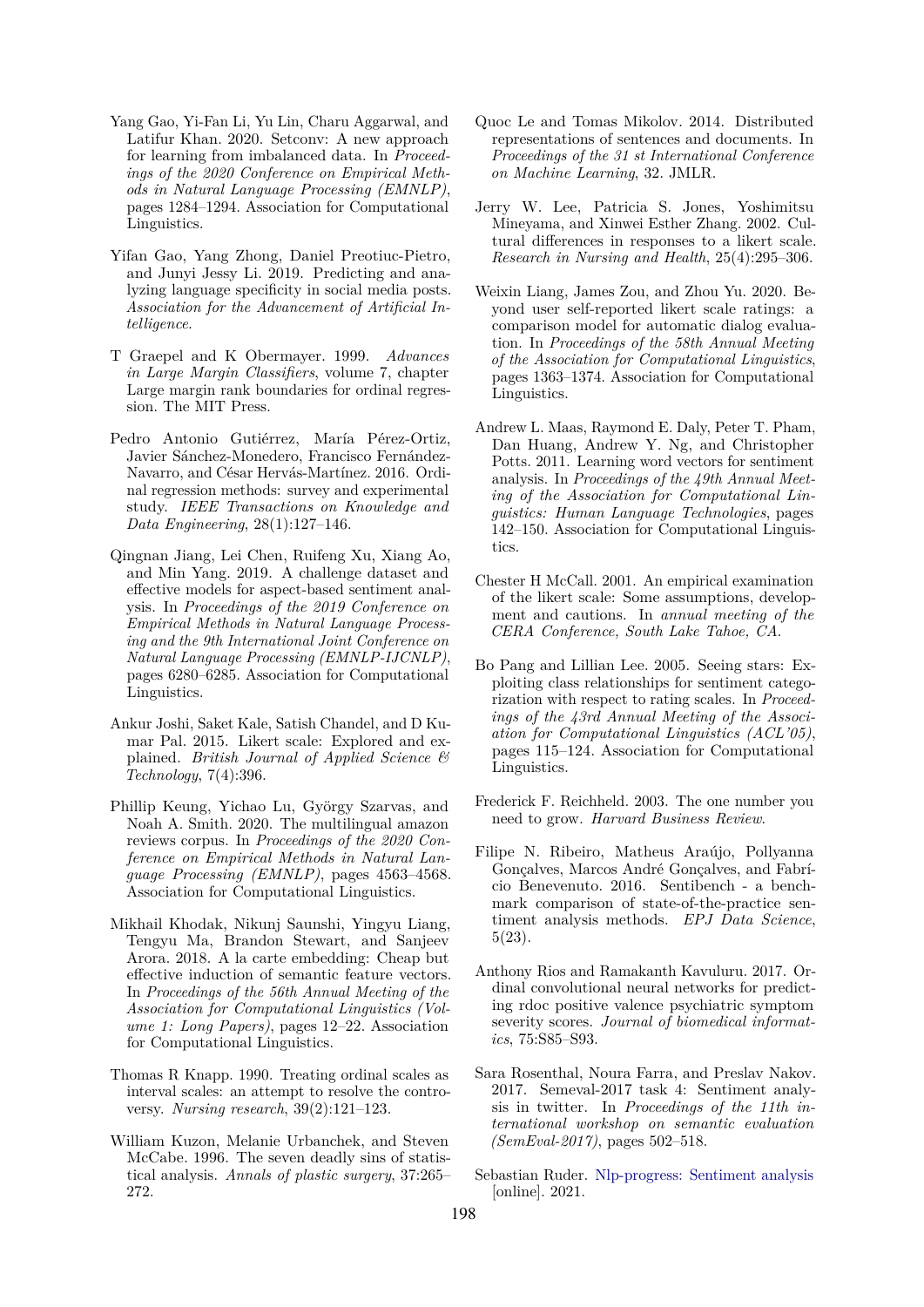- <span id="page-9-18"></span>Yang Gao, Yi-Fan Li, Yu Lin, Charu Aggarwal, and Latifur Khan. 2020. Setconv: A new approach for learning from imbalanced data. In *Proceedings of the 2020 Conference on Empirical Methods in Natural Language Processing (EMNLP)*, pages 1284–1294. Association for Computational Linguistics.
- <span id="page-9-10"></span>Yifan Gao, Yang Zhong, Daniel Preotiuc-Pietro, and Junyi Jessy Li. 2019. Predicting and analyzing language specificity in social media posts. *Association for the Advancement of Artificial Intelligence*.
- <span id="page-9-2"></span>T Graepel and K Obermayer. 1999. *Advances in Large Margin Classifiers*, volume 7, chapter Large margin rank boundaries for ordinal regression. The MIT Press.
- <span id="page-9-3"></span>Pedro Antonio Gutiérrez, María Pérez-Ortiz, Javier Sánchez-Monedero, Francisco Fernández-Navarro, and César Hervás-Martínez. 2016. Ordinal regression methods: survey and experimental study. *IEEE Transactions on Knowledge and Data Engineering*, 28(1):127–146.
- <span id="page-9-8"></span>Qingnan Jiang, Lei Chen, Ruifeng Xu, Xiang Ao, and Min Yang. 2019. A challenge dataset and effective models for aspect-based sentiment analysis. In *Proceedings of the 2019 Conference on Empirical Methods in Natural Language Processing and the 9th International Joint Conference on Natural Language Processing (EMNLP-IJCNLP)*, pages 6280–6285. Association for Computational Linguistics.
- <span id="page-9-5"></span>Ankur Joshi, Saket Kale, Satish Chandel, and D Kumar Pal. 2015. Likert scale: Explored and explained. *British Journal of Applied Science & Technology*, 7(4):396.
- <span id="page-9-1"></span>Phillip Keung, Yichao Lu, György Szarvas, and Noah A. Smith. 2020. The multilingual amazon reviews corpus. In *Proceedings of the 2020 Conference on Empirical Methods in Natural Language Processing (EMNLP)*, pages 4563–4568. Association for Computational Linguistics.
- <span id="page-9-16"></span>Mikhail Khodak, Nikunj Saunshi, Yingyu Liang, Tengyu Ma, Brandon Stewart, and Sanjeev Arora. 2018. A la carte embedding: Cheap but effective induction of semantic feature vectors. In *Proceedings of the 56th Annual Meeting of the Association for Computational Linguistics (Volume 1: Long Papers)*, pages 12–22. Association for Computational Linguistics.
- <span id="page-9-4"></span>Thomas R Knapp. 1990. Treating ordinal scales as interval scales: an attempt to resolve the controversy. *Nursing research*, 39(2):121–123.
- <span id="page-9-7"></span>William Kuzon, Melanie Urbanchek, and Steven McCabe. 1996. The seven deadly sins of statistical analysis. *Annals of plastic surgery*, 37:265– 272.
- <span id="page-9-17"></span>Quoc Le and Tomas Mikolov. 2014. Distributed representations of sentences and documents. In *Proceedings of the 31 st International Conference on Machine Learning*, 32. JMLR.
- <span id="page-9-20"></span>Jerry W. Lee, Patricia S. Jones, Yoshimitsu Mineyama, and Xinwei Esther Zhang. 2002. Cultural differences in responses to a likert scale. *Research in Nursing and Health*, 25(4):295–306.
- <span id="page-9-19"></span>Weixin Liang, James Zou, and Zhou Yu. 2020. Beyond user self-reported likert scale ratings: a comparison model for automatic dialog evaluation. In *Proceedings of the 58th Annual Meeting of the Association for Computational Linguistics*, pages 1363–1374. Association for Computational Linguistics.
- <span id="page-9-13"></span>Andrew L. Maas, Raymond E. Daly, Peter T. Pham, Dan Huang, Andrew Y. Ng, and Christopher Potts. 2011. Learning word vectors for sentiment analysis. In *Proceedings of the 49th Annual Meeting of the Association for Computational Linguistics: Human Language Technologies*, pages 142–150. Association for Computational Linguistics.
- <span id="page-9-6"></span>Chester H McCall. 2001. An empirical examination of the likert scale: Some assumptions, development and cautions. In *annual meeting of the CERA Conference, South Lake Tahoe, CA*.
- <span id="page-9-9"></span>Bo Pang and Lillian Lee. 2005. Seeing stars: Exploiting class relationships for sentiment categorization with respect to rating scales. In *Proceedings of the 43rd Annual Meeting of the Association for Computational Linguistics (ACL'05)*, pages 115–124. Association for Computational Linguistics.
- <span id="page-9-0"></span>Frederick F. Reichheld. 2003. The one number you need to grow. *Harvard Business Review*.
- <span id="page-9-14"></span>Filipe N. Ribeiro, Matheus Araújo, Pollyanna Gonçalves, Marcos André Gonçalves, and Fabrício Benevenuto. 2016. Sentibench - a benchmark comparison of state-of-the-practice sentiment analysis methods. *EPJ Data Science*, 5(23).
- <span id="page-9-12"></span>Anthony Rios and Ramakanth Kavuluru. 2017. Ordinal convolutional neural networks for predicting rdoc positive valence psychiatric symptom severity scores. *Journal of biomedical informatics*, 75:S85–S93.
- <span id="page-9-11"></span>Sara Rosenthal, Noura Farra, and Preslav Nakov. 2017. Semeval-2017 task 4: Sentiment analysis in twitter. In *Proceedings of the 11th international workshop on semantic evaluation (SemEval-2017)*, pages 502–518.
- <span id="page-9-15"></span>Sebastian Ruder. [Nlp-progress: Sentiment analysis](https://nlpprogress.com/english/sentiment_analysis.html) [online]. 2021.